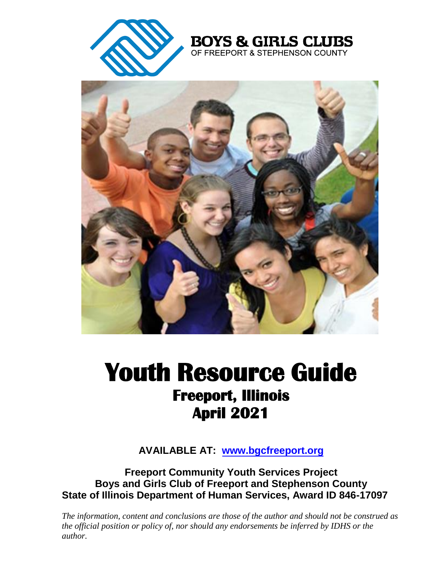

**BOYS & GIRLS CLUBS** OF FREEPORT & STEPHENSON COUNTY



# **Youth Resource Guide Freeport, Illinois April 2021**

**AVAILABLE AT: www.bgcfreeport.org**

**Freeport Community Youth Services Project Boys and Girls Club of Freeport and Stephenson County State of Illinois Department of Human Services, Award ID 846-17097** 

*The information, content and conclusions are those of the author and should not be construed as the official position or policy of, nor should any endorsements be inferred by IDHS or the author.*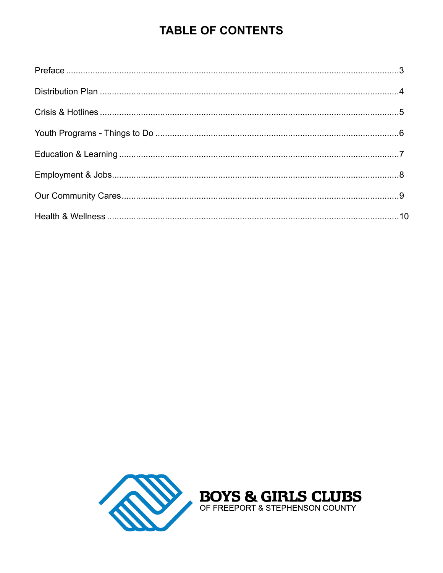## **TABLE OF CONTENTS**

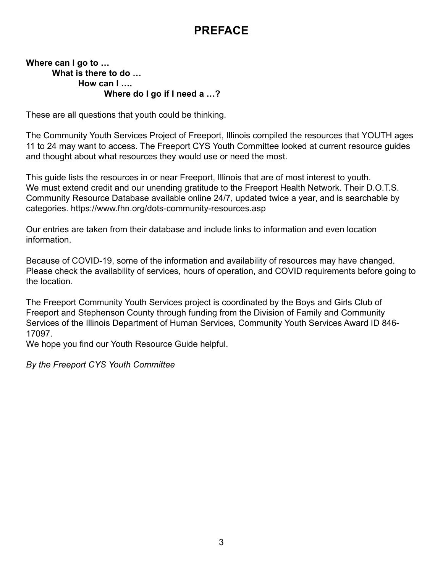### **PREFACE**

#### **Where can I go to … What is there to do … How can I …. Where do I go if I need a …?**

These are all questions that youth could be thinking.

The Community Youth Services Project of Freeport, Illinois compiled the resources that YOUTH ages 11 to 24 may want to access. The Freeport CYS Youth Committee looked at current resource guides and thought about what resources they would use or need the most.

This guide lists the resources in or near Freeport, Illinois that are of most interest to youth. We must extend credit and our unending gratitude to the Freeport Health Network. Their D.O.T.S. Community Resource Database available online 24/7, updated twice a year, and is searchable by categories. https://www.fhn.org/dots-community-resources.asp

Our entries are taken from their database and include links to information and even location information.

Because of COVID-19, some of the information and availability of resources may have changed. Please check the availability of services, hours of operation, and COVID requirements before going to the location.

The Freeport Community Youth Services project is coordinated by the Boys and Girls Club of Freeport and Stephenson County through funding from the Division of Family and Community Services of the Illinois Department of Human Services, Community Youth Services Award ID 846- 17097.

We hope you find our Youth Resource Guide helpful.

*By the Freeport CYS Youth Committee*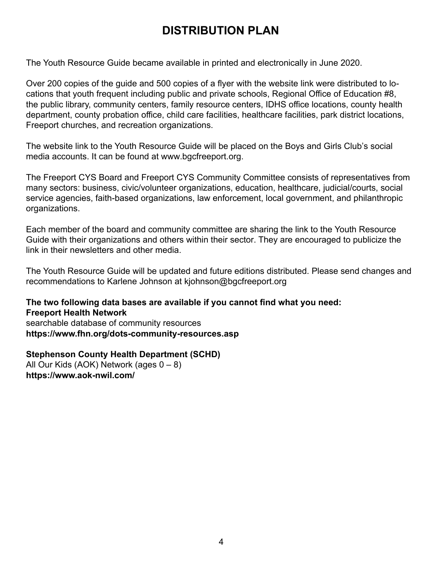### **DISTRIBUTION PLAN**

The Youth Resource Guide became available in printed and electronically in June 2020.

Over 200 copies of the guide and 500 copies of a flyer with the website link were distributed to locations that youth frequent including public and private schools, Regional Office of Education #8, the public library, community centers, family resource centers, IDHS office locations, county health department, county probation office, child care facilities, healthcare facilities, park district locations, Freeport churches, and recreation organizations.

The website link to the Youth Resource Guide will be placed on the Boys and Girls Club's social media accounts. It can be found at www.bgcfreeport.org.

The Freeport CYS Board and Freeport CYS Community Committee consists of representatives from many sectors: business, civic/volunteer organizations, education, healthcare, judicial/courts, social service agencies, faith-based organizations, law enforcement, local government, and philanthropic organizations.

Each member of the board and community committee are sharing the link to the Youth Resource Guide with their organizations and others within their sector. They are encouraged to publicize the link in their newsletters and other media.

The Youth Resource Guide will be updated and future editions distributed. Please send changes and recommendations to Karlene Johnson at kjohnson@bgcfreeport.org

**The two following data bases are available if you cannot find what you need: Freeport Health Network**  searchable database of community resources **https://www.fhn.org/dots-community-resources.asp** 

**Stephenson County Health Department (SCHD)** All Our Kids (AOK) Network (ages  $0 - 8$ ) **https://www.aok-nwil.com/**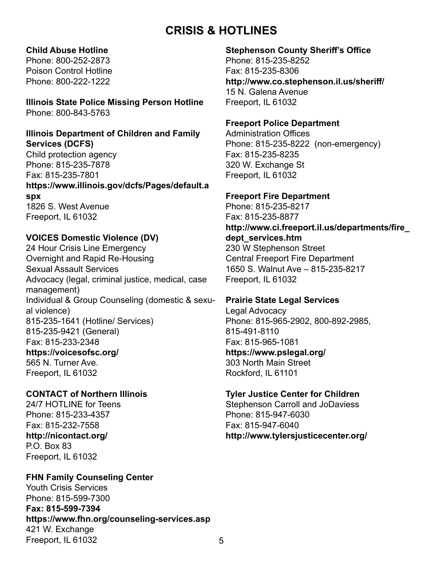### **CRISIS & HOTLINES**

#### **Child Abuse Hotline**

Phone: 800-252-2873 Poison Control Hotline Phone: 800-222-1222

**Illinois State Police Missing Person Hotline**  Phone: 800-843-5763

#### **Illinois Department of Children and Family Services (DCFS)**

Child protection agency Phone: 815-235-7878 Fax: 815-235-7801 **https://www.illinois.gov/dcfs/Pages/default.a spx** 1826 S. West Avenue Freeport, IL 61032

#### **VOICES Domestic Violence (DV)**

24 Hour Crisis Line Emergency Overnight and Rapid Re-Housing Sexual Assault Services Advocacy (legal, criminal justice, medical, case management) Individual & Group Counseling (domestic & sexual violence) 815-235-1641 (Hotline/ Services) 815-235-9421 (General) Fax: 815-233-2348 **https://voicesofsc.org/** 565 N. Turner Ave. Freeport, IL 61032

#### **CONTACT of Northern Illinois**

24/7 HOTLINE for Teens Phone: 815-233-4357 Fax: 815-232-7558 **http://nicontact.org/**  P.O. Box 83 Freeport, IL 61032

#### **FHN Family Counseling Center**

Youth Crisis Services Phone: 815-599-7300 **Fax: 815-599-7394 https://www.fhn.org/counseling-services.asp**  421 W. Exchange Freeport, IL 61032

#### **Stephenson County Sheriff's Office**

Phone: 815-235-8252 Fax: 815-235-8306 **http://www.co.stephenson.il.us/sheriff/** 15 N. Galena Avenue Freeport, IL 61032

#### **Freeport Police Department**

Administration Offices Phone: 815-235-8222 (non-emergency) Fax: 815-235-8235 320 W. Exchange St Freeport, IL 61032

#### **Freeport Fire Department**

Phone: 815-235-8217 Fax: 815-235-8877 **http://www.ci.freeport.il.us/departments/fire\_ dept\_services.htm**  230 W Stephenson Street Central Freeport Fire Department 1650 S. Walnut Ave – 815-235-8217 Freeport, IL 61032

#### **Prairie State Legal Services**

Legal Advocacy Phone: 815-965-2902, 800-892-2985, 815-491-8110 Fax: 815-965-1081 **https://www.pslegal.org/** 303 North Main Street Rockford, IL 61101

#### **Tyler Justice Center for Children**

Stephenson Carroll and JoDaviess Phone: 815-947-6030 Fax: 815-947-6040 **http://www.tylersjusticecenter.org/**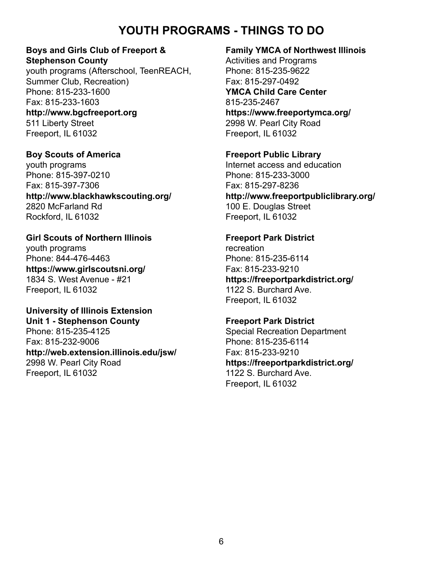### **YOUTH PROGRAMS - THINGS TO DO**

#### **Boys and Girls Club of Freeport & Stephenson County**

youth programs (Afterschool, TeenREACH, Summer Club, Recreation) Phone: 815-233-1600 Fax: 815-233-1603 **http://www.bgcfreeport.org** 511 Liberty Street Freeport, IL 61032

**Boy Scouts of America** youth programs Phone: 815-397-0210 Fax: 815-397-7306 **http://www.blackhawkscouting.org/** 2820 McFarland Rd Rockford, IL 61032

#### **Girl Scouts of Northern Illinois**

youth programs Phone: 844-476-4463 **https://www.girlscoutsni.org/** 1834 S. West Avenue - #21 Freeport, IL 61032

### **University of Illinois Extension**

**Unit 1 - Stephenson County** Phone: 815-235-4125 Fax: 815-232-9006 **http://web.extension.illinois.edu/jsw/** 2998 W. Pearl City Road Freeport, IL 61032

#### **Family YMCA of Northwest Illinois**

Activities and Programs Phone: 815-235-9622 Fax: 815-297-0492 **YMCA Child Care Center** 815-235-2467 **https://www.freeportymca.org/** 2998 W. Pearl City Road Freeport, IL 61032

**Freeport Public Library** Internet access and education Phone: 815-233-3000 Fax: 815-297-8236 **http://www.freeportpubliclibrary.org/** 100 E. Douglas Street Freeport, IL 61032

**Freeport Park District** recreation Phone: 815-235-6114 Fax: 815-233-9210 **https://freeportparkdistrict.org/** 1122 S. Burchard Ave. Freeport, IL 61032

**Freeport Park District** Special Recreation Department Phone: 815-235-6114 Fax: 815-233-9210 **https://freeportparkdistrict.org/** 1122 S. Burchard Ave. Freeport, IL 61032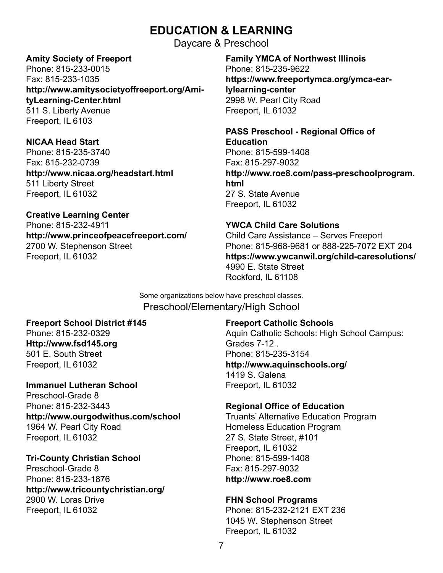### **EDUCATION & LEARNING**

Daycare & Preschool

#### **Amity Society of Freeport**

Phone: 815-233-0015 Fax: 815-233-1035 **http://www.amitysocietyoffreeport.org/AmityLearning-Center.html** 511 S. Liberty Avenue Freeport, IL 6103

**NICAA Head Start** Phone: 815-235-3740 Fax: 815-232-0739 **http://www.nicaa.org/headstart.html** 511 Liberty Street Freeport, IL 61032

**Creative Learning Center** Phone: 815-232-4911 **http://www.princeofpeacefreeport.com/** 2700 W. Stephenson Street Freeport, IL 61032

**Family YMCA of Northwest Illinois** Phone: 815-235-9622 **https://www.freeportymca.org/ymca-earlylearning-center** 2998 W. Pearl City Road Freeport, IL 61032

**PASS Preschool - Regional Office of Education** Phone: 815-599-1408 Fax: 815-297-9032 **http://www.roe8.com/pass-preschoolprogram. html** 27 S. State Avenue Freeport, IL 61032

**YWCA Child Care Solutions** Child Care Assistance – Serves Freeport Phone: 815-968-9681 or 888-225-7072 EXT 204 **https://www.ywcanwil.org/child-caresolutions/** 4990 E. State Street Rockford, IL 61108

Some organizations below have preschool classes. Preschool/Elementary/High School

#### **Freeport School District #145**

Phone: 815-232-0329 **Http://www.fsd145.org** 501 E. South Street Freeport, IL 61032

#### **Immanuel Lutheran School**

Preschool-Grade 8 Phone: 815-232-3443 **http://www.ourgodwithus.com/school** 1964 W. Pearl City Road Freeport, IL 61032

#### **Tri-County Christian School**

Preschool-Grade 8 Phone: 815-233-1876 **http://www.tricountychristian.org/** 2900 W. Loras Drive Freeport, IL 61032

**Freeport Catholic Schools**

Aquin Catholic Schools: High School Campus: Grades 7-12 . Phone: 815-235-3154 **http://www.aquinschools.org/** 1419 S. Galena Freeport, IL 61032

#### **Regional Office of Education**

Truants' Alternative Education Program Homeless Education Program 27 S. State Street, #101 Freeport, IL 61032 Phone: 815-599-1408 Fax: 815-297-9032 **http://www.roe8.com**

#### **FHN School Programs**

Phone: 815-232-2121 EXT 236 1045 W. Stephenson Street Freeport, IL 61032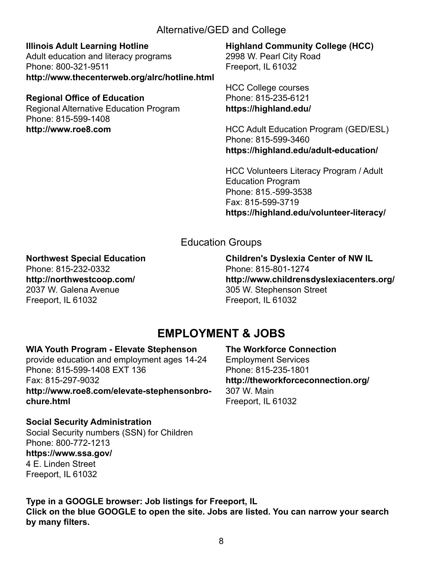#### Alternative/GED and College

**Illinois Adult Learning Hotline**

Adult education and literacy programs Phone: 800-321-9511 **http://www.thecenterweb.org/alrc/hotline.html**

#### **Regional Office of Education**

Regional Alternative Education Program Phone: 815-599-1408 **http://www.roe8.com**

**Highland Community College (HCC)** 2998 W. Pearl City Road Freeport, IL 61032

HCC College courses Phone: 815-235-6121 **https://highland.edu/**

HCC Adult Education Program (GED/ESL) Phone: 815-599-3460 **https://highland.edu/adult-education/**

HCC Volunteers Literacy Program / Adult Education Program Phone: 815.-599-3538 Fax: 815-599-3719 **https://highland.edu/volunteer-literacy/**

### Education Groups

#### **Northwest Special Education**

Phone: 815-232-0332 **http://northwestcoop.com/** 2037 W. Galena Avenue Freeport, IL 61032

**Children's Dyslexia Center of NW IL** Phone: 815-801-1274 **http://www.childrensdyslexiacenters.org/** 305 W. Stephenson Street Freeport, IL 61032

### **EMPLOYMENT & JOBS**

#### **WIA Youth Program - Elevate Stephenson**

provide education and employment ages 14-24 Phone: 815-599-1408 EXT 136 Fax: 815-297-9032 **http://www.roe8.com/elevate-stephensonbrochure.html**

**The Workforce Connection** Employment Services Phone: 815-235-1801 **http://theworkforceconnection.org/** 307 W. Main Freeport, IL 61032

**Social Security Administration** Social Security numbers (SSN) for Children Phone: 800-772-1213 **https://www.ssa.gov/** 4 E. Linden Street Freeport, IL 61032

**Type in a GOOGLE browser: Job listings for Freeport, IL Click on the blue GOOGLE to open the site. Jobs are listed. You can narrow your search by many filters.**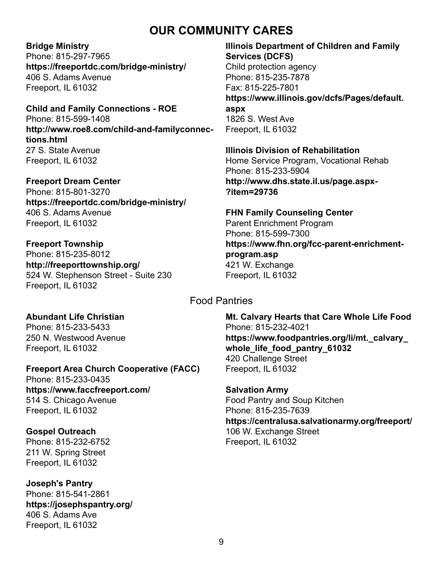### **OUR COMMUNITY CARES**

#### **Bridge Ministry**

Phone: 815-297-7965 **https://freeportdc.com/bridge-ministry/** 406 S. Adams Avenue Freeport, IL 61032

#### **Child and Family Connections - ROE**

Phone: 815-599-1408 **http://www.roe8.com/child-and-familyconnections.html** 27 S. State Avenue Freeport, IL 61032

#### **Freeport Dream Center**

Phone: 815-801-3270 **https://freeportdc.com/bridge-ministry/** 406 S. Adams Avenue Freeport, IL 61032

#### **Freeport Township**

Phone: 815-235-8012 **http://freeporttownship.org/** 524 W. Stephenson Street - Suite 230 Freeport, IL 61032

#### **Illinois Department of Children and Family Services (DCFS)**

Child protection agency Phone: 815-235-7878 Fax: 815-225-7801 **https://www.illinois.gov/dcfs/Pages/default. aspx** 1826 S. West Ave Freeport, IL 61032

#### **Illinois Division of Rehabilitation**

Home Service Program, Vocational Rehab Phone: 815-233-5904 **http://www.dhs.state.il.us/page.aspx- ?item=29736**

#### **FHN Family Counseling Center** Parent Enrichment Program

Phone: 815-599-7300 **https://www.fhn.org/fcc-parent-enrichmentprogram.asp** 421 W. Exchange Freeport, IL 61032

#### Food Pantries

#### **Abundant Life Christian**

Phone: 815-233-5433 250 N. Westwood Avenue Freeport, IL 61032

#### Phone: 815-233-0435 **https://www.faccfreeport.com/**

**Freeport Area Church Cooperative (FACC)**

514 S. Chicago Avenue Freeport, IL 61032

#### **Gospel Outreach**

Phone: 815-232-6752 211 W. Spring Street Freeport, IL 61032

#### **Joseph's Pantry** Phone: 815-541-2861 **https://josephspantry.org/** 406 S. Adams Ave Freeport, IL 61032

**Mt. Calvary Hearts that Care Whole Life Food** Phone: 815-232-4021 **https://www.foodpantries.org/li/mt.\_calvary\_ whole\_life\_food\_pantry\_61032** 420 Challenge Street Freeport, IL 61032

#### **Salvation Army** Food Pantry and Soup Kitchen Phone: 815-235-7639 **https://centralusa.salvationarmy.org/freeport/** 106 W. Exchange Street Freeport, IL 61032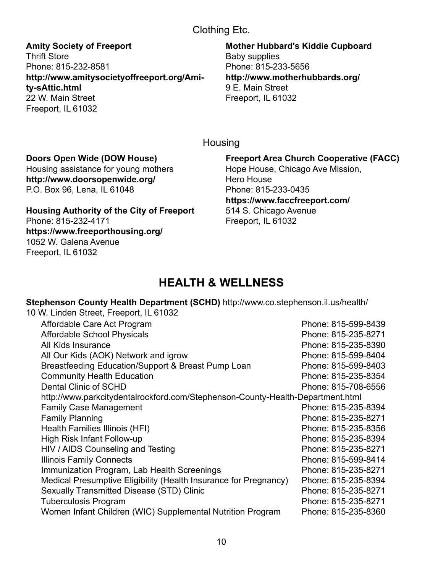#### Clothing Etc.

**Amity Society of Freeport** Thrift Store Phone: 815-232-8581 **http://www.amitysocietyoffreeport.org/Amity-sAttic.html** 22 W. Main Street Freeport, IL 61032

**Mother Hubbard's Kiddie Cupboard** Baby supplies Phone: 815-233-5656 **http://www.motherhubbards.org/** 9 E. Main Street Freeport, IL 61032

**Housing** 

#### **Doors Open Wide (DOW House)**

Freeport, IL 61032

Housing assistance for young mothers **http://www.doorsopenwide.org/** P.O. Box 96, Lena, IL 61048

**Housing Authority of the City of Freeport** Phone: 815-232-4171 **https://www.freeporthousing.org/** 1052 W. Galena Avenue

**Freeport Area Church Cooperative (FACC)** Hope House, Chicago Ave Mission, Hero House Phone: 815-233-0435 **https://www.faccfreeport.com/** 514 S. Chicago Avenue Freeport, IL 61032

### **HEALTH & WELLNESS**

**Stephenson County Health Department (SCHD)** http://www.co.stephenson.il.us/health/

| Phone: 815-599-8439                                                            |  |  |
|--------------------------------------------------------------------------------|--|--|
| Phone: 815-235-8271                                                            |  |  |
| Phone: 815-235-8390                                                            |  |  |
| Phone: 815-599-8404                                                            |  |  |
| Phone: 815-599-8403                                                            |  |  |
| Phone: 815-235-8354                                                            |  |  |
| Phone: 815-708-6556                                                            |  |  |
| http://www.parkcitydentalrockford.com/Stephenson-County-Health-Department.html |  |  |
| Phone: 815-235-8394                                                            |  |  |
| Phone: 815-235-8271                                                            |  |  |
| Phone: 815-235-8356                                                            |  |  |
| Phone: 815-235-8394                                                            |  |  |
| Phone: 815-235-8271                                                            |  |  |
| Phone: 815-599-8414                                                            |  |  |
| Phone: 815-235-8271                                                            |  |  |
| Phone: 815-235-8394                                                            |  |  |
| Phone: 815-235-8271                                                            |  |  |
| Phone: 815-235-8271                                                            |  |  |
| Phone: 815-235-8360                                                            |  |  |
|                                                                                |  |  |